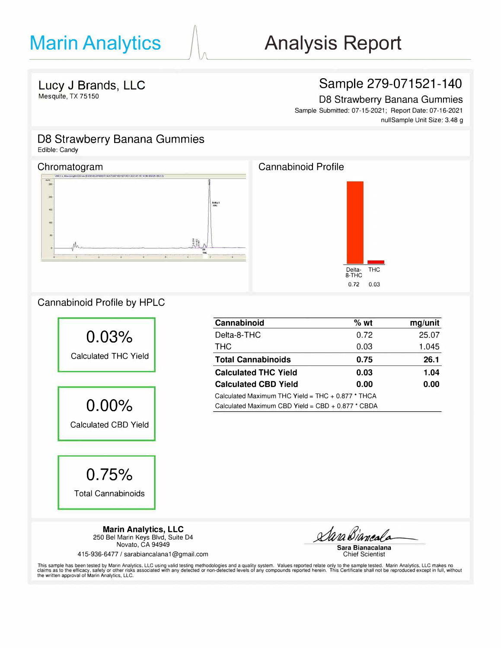## **Sample 279-071521-140**

08 Strawberry Banana Gummies

Sample Submitted: 07-15-2021; Report Date: 07-16-2021 nullSample Unit Size: 3.48 g

## **D8 Strawberry Banana Gummies**

Edible: Candy

### Chromatogram





## Cannabinoid Profile by HPLC



| <b>Cannabinoid</b>                                  | %wt  | mg/unit |  |
|-----------------------------------------------------|------|---------|--|
| Delta-8-THC                                         | 0.72 | 25.07   |  |
| THC.                                                | 0.03 | 1.045   |  |
| <b>Total Cannabinoids</b>                           | 0.75 | 26.1    |  |
| <b>Calculated THC Yield</b>                         | 0.03 | 1.04    |  |
| <b>Calculated CBD Yield</b>                         | 0.00 | 0.00    |  |
| Calculated Maximum THC Yield = $THC + 0.877$ * THCA |      |         |  |
| Calculated Maximum CBD Yield = $CBD + 0.877 * CBDA$ |      |         |  |

**Marin Analytics, LLC**  250 Bel Marin Keys Blvd, Suite D4 Novato, CA 94949

415-936-6477 *I* sarabiancalana 1@gmail.com

Sara

**Sara Bianacalana**  Chief Scientist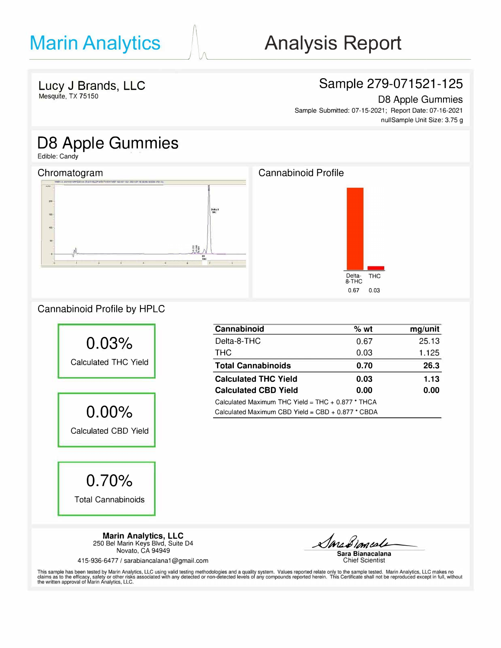## Sample 279-071521-125

D8 Apple Gummies Sample Submitted: 07-15-2021; Report Date: 07-16-2021 nullSample Unit Size: 3.75 g

# D8 Apple Gummies

Edible: Candy



### Cannabinoid Profile by HPLC



| Cannabinoid                                         | % wt | mg/unit |
|-----------------------------------------------------|------|---------|
| Delta-8-THC                                         | 0.67 | 25.13   |
| <b>THC</b>                                          | 0.03 | 1.125   |
| <b>Total Cannabinoids</b>                           | 0.70 | 26.3    |
| <b>Calculated THC Yield</b>                         | 0.03 | 1.13    |
| <b>Calculated CBD Yield</b>                         | 0.00 | 0.00    |
| Calculated Maximum THC Yield = $THC + 0.877$ * THCA |      |         |
| Calculated Maximum CBD Yield = CBD + 0.877 * CBDA   |      |         |

**Marin Analytics, LLC**  250 Bel Marin Keys Blvd, Suite D4 Novato, CA 94949 415-936-6477 / sarabiancalana 1@gmail.com SarceBiomeal **Sara Bianacalana** 

Chief Scientist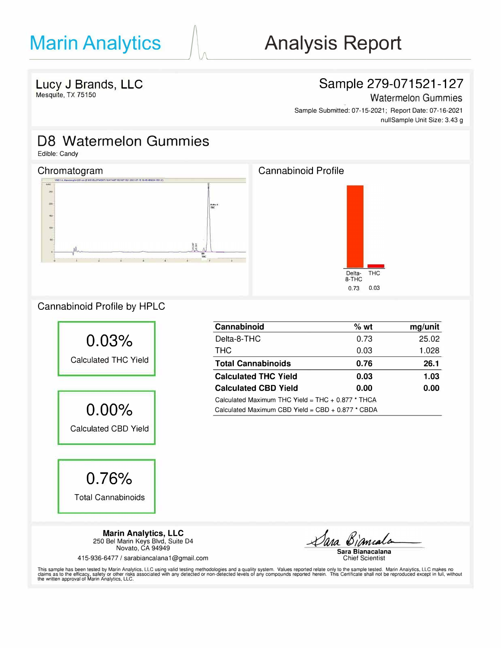## Sample 279-071521-127

Watermelon Gummies

Sample Submitted: 07-15-2021; Report Date: 07-16-2021 nullSample Unit Size: 3.43 g

## D8 Watermelon Gummies

Edible: Candy



### Cannabinoid Profile by HPLC



| Cannabinoid                                         | $%$ wt | mg/unit |
|-----------------------------------------------------|--------|---------|
| Delta-8-THC                                         | 0.73   | 25.02   |
| <b>THC</b>                                          | 0.03   | 1.028   |
| <b>Total Cannabinoids</b>                           | 0.76   | 26.1    |
| <b>Calculated THC Yield</b>                         | 0.03   | 1.03    |
| <b>Calculated CBD Yield</b>                         | 0.00   | 0.00    |
| Calculated Maximum THC Yield = THC + $0.877$ * THCA |        |         |
| Calculated Maximum CBD Yield = $CBD + 0.877$ * CBDA |        |         |

415-936-6477 / sarabiancalana 1@gmail.com

Dara Biamcal **Sara Bianacalana** 

Chief Scientist